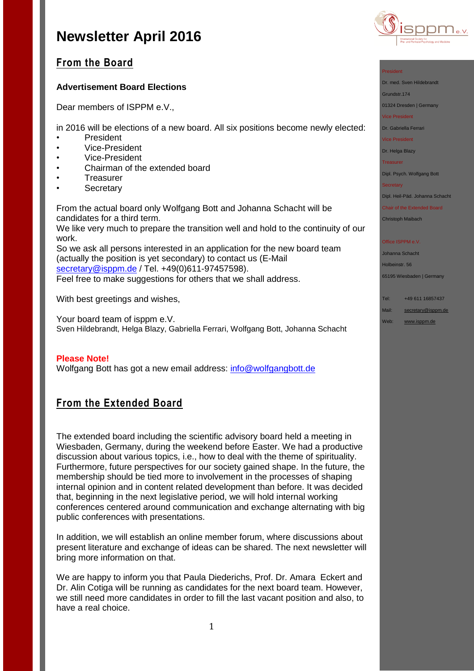

## **From the Board**

## **Advertisement Board Elections**

Dear members of ISPPM e.V.,

in 2016 will be elections of a new board. All six positions become newly elected:

- President
- Vice-President
- Vice-President
- Chairman of the extended board
- Treasurer
- **Secretary**

From the actual board only Wolfgang Bott and Johanna Schacht will be candidates for a third term.

We like very much to prepare the transition well and hold to the continuity of our work.

So we ask all persons interested in an application for the new board team (actually the position is yet secondary) to contact us (E-Mail [secretary@isppm.de](mailto:secretary@isppm.de) / Tel. +49(0)611-97457598).

Feel free to make suggestions for others that we shall address.

With best greetings and wishes,

Your board team of isppm e.V. Sven Hildebrandt, Helga Blazy, Gabriella Ferrari, Wolfgang Bott, Johanna Schacht

## **Please Note!**

Wolfgang Bott has got a new email address: [info@wolfgangbott.de](mailto:info@wolfgangbott.de)

## **From the Extended Board**

The extended board including the scientific advisory board held a meeting in Wiesbaden, Germany, during the weekend before Easter. We had a productive discussion about various topics, i.e., how to deal with the theme of spirituality. Furthermore, future perspectives for our society gained shape. In the future, the membership should be tied more to involvement in the processes of shaping internal opinion and in content related development than before. It was decided that, beginning in the next legislative period, we will hold internal working conferences centered around communication and exchange alternating with big public conferences with presentations.

In addition, we will establish an online member forum, where discussions about present literature and exchange of ideas can be shared. The next newsletter will bring more information on that.

We are happy to inform you that Paula Diederichs, Prof. Dr. Amara Eckert and Dr. Alin Cotiga will be running as candidates for the next board team. However, we still need more candidates in order to fill the last vacant position and also, to have a real choice.

#### President

Dr. med. Sven Hildebrandt

Grundstr.174

01324 Dresden | Germany Vice President

Dr. Gabriella Ferrari

Vice President

## Dr. Helga Blazy

Treasurer

Dipl. Psych. Wolfgang Bott

**Secretary** 

Dipl. Heil-Päd. Johanna Schacht

Chair of the Extended Board

Christoph Maibach

### Office ISPPM e.V

Johanna Schacht Holbeinstr. 56 65195 Wiesbaden | Germany

Tel: +49 611 16857437

Mail: [secretary@isppm.de](mailto:secretary@isppm.de)

Web: [www.isppm.de](http://www.isppm.de/)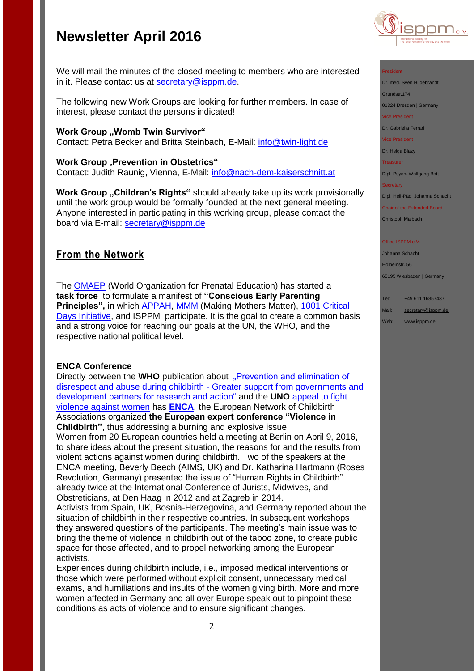

#### President

Dr. med. Sven Hildebrandt

Grundstr.174

01324 Dresden | Germany

Vice President

Dr. Gabriella Ferrari

Vice President

Dr. Helga Blazy

**Treasurer** 

Dipl. Psych. Wolfgang Bott

**Secretary** 

Dipl. Heil-Päd. Johanna Schacht

Chair of the Extended Board Christoph Maibach

#### Office ISPPM e.V

Johanna Schacht Holbeinstr. 56 65195 Wiesbaden | Germany

Tel: +49 611 16857437

Mail: [secretary@isppm.de](mailto:secretary@isppm.de)

Web: [www.isppm.de](http://www.isppm.de/)

### We will mail the minutes of the closed meeting to members who are interested in it. Please contact us at [secretary@isppm.de.](mailto:secretary@isppm.de)

The following new Work Groups are looking for further members. In case of interest, please contact the persons indicated!

### **Work Group "Womb Twin Survivor"**

Contact: Petra Becker and Britta Steinbach, E-Mail: [info@twin-light.de](mailto:info@twin-light.de)

### **Work Group** "Prevention in Obstetrics"

Contact: Judith Raunig, Vienna, E-Mail: [info@nach-dem-kaiserschnitt.at](mailto:info@nach-dem-kaiserschnitt.at)

**Work Group "Children's Rights"** should already take up its work provisionally until the work group would be formally founded at the next general meeting. Anyone interested in participating in this working group, please contact the board via E-mail: [secretary@isppm.de](mailto:secretary@isppm.de)

## **From the Network**

The [OMAEP](http://www.omaep.com/en/) (World Organization for Prenatal Education) has started a **task force** to formulate a manifest of **"Conscious Early Parenting Principles", in which [APPAH,](https://birthpsychology.com/content/what-apppah) [MMM](http://makemothersmatter.org/en/) (Making Mothers Matter), 1001 Critical** [Days Initiative,](http://www.1001criticaldays.co.uk/) and ISPPM participate. It is the goal to create a common basis and a strong voice for reaching our goals at the UN, the WHO, and the respective national political level.

## **ENCA Conference**

Directly between the WHO publication about **"Prevention and elimination of** disrespect and abuse during childbirth - [Greater support from governments and](http://www.who.int/reproductivehealth/topics/maternal_perinatal/statement-childbirth-govnts-support/en/)  [development partners for research and action"](http://www.who.int/reproductivehealth/topics/maternal_perinatal/statement-childbirth-govnts-support/en/) and the **UNO** [appeal to fight](http://www.unwomen.org/en/trust-funds/un-trust-fund-to-end-violence-against-women)  [violence against women](http://www.unwomen.org/en/trust-funds/un-trust-fund-to-end-violence-against-women) has **[ENCA](http://enca.info/)**, the European Network of Childbirth Associations organized **the European expert conference "Violence in Childbirth"**, thus addressing a burning and explosive issue.

Women from 20 European countries held a meeting at Berlin on April 9, 2016, to share ideas about the present situation, the reasons for and the results from violent actions against women during childbirth. Two of the speakers at the ENCA meeting, Beverly Beech (AIMS, UK) and Dr. Katharina Hartmann (Roses Revolution, Germany) presented the issue of "Human Rights in Childbirth" already twice at the International Conference of Jurists, Midwives, and Obstreticians, at Den Haag in 2012 and at Zagreb in 2014.

Activists from Spain, UK, Bosnia-Herzegovina, and Germany reported about the situation of childbirth in their respective countries. In subsequent workshops they answered questions of the participants. The meeting's main issue was to bring the theme of violence in childbirth out of the taboo zone, to create public space for those affected, and to propel networking among the European activists.

Experiences during childbirth include, i.e., imposed medical interventions or those which were performed without explicit consent, unnecessary medical exams, and humiliations and insults of the women giving birth. More and more women affected in Germany and all over Europe speak out to pinpoint these conditions as acts of violence and to ensure significant changes.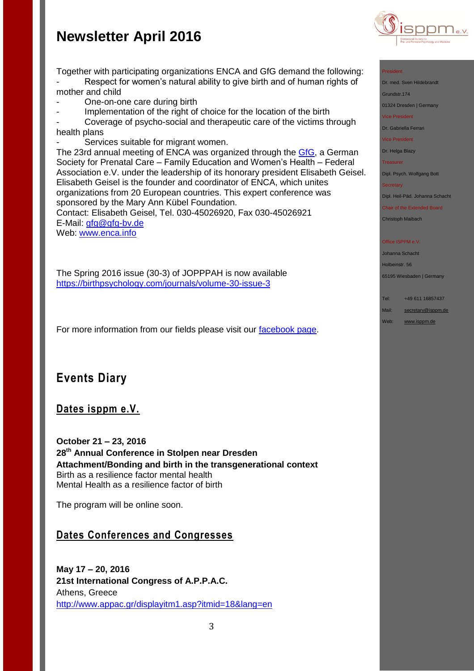

#### President

Dr. med. Sven Hildebrandt

Grundstr.174

01324 Dresden | Germany

Vice President

Dr. Gabriella Ferrari

Vice President

Dr. Helga Blazy

Treasurer

Dipl. Psych. Wolfgang Bott

**Secretary** 

Dipl. Heil-Päd. Johanna Schacht

Chair of the Extended Board Christoph Maibach

#### Office ISPPM e.V

Johanna Schacht Holbeinstr. 56

65195 Wiesbaden | Germany

Tel: +49 611 16857437

Mail: [secretary@isppm.de](mailto:secretary@isppm.de)

Web: [www.isppm.de](http://www.isppm.de/)

Together with participating organizations ENCA and GfG demand the following: Respect for women's natural ability to give birth and of human rights of mother and child

- One-on-one care during birth
- Implementation of the right of choice for the location of the birth

Coverage of psycho-social and therapeutic care of the victims through health plans

Services suitable for migrant women.

The 23rd annual meeting of ENCA was organized through the [GfG,](http://www.gfg-bv.de/) a German Society for Prenatal Care – Family Education and Women's Health – Federal Association e.V. under the leadership of its honorary president Elisabeth Geisel. Elisabeth Geisel is the founder and coordinator of ENCA, which unites organizations from 20 European countries. This expert conference was sponsored by the Mary Ann Kübel Foundation.

Contact: Elisabeth Geisel, Tel. 030-45026920, Fax 030-45026921 E-Mail: [gfg@gfg-bv.de](mailto:gfg@gfg-bv.de)

Web: [www.enca.info](http://www.enca.info/)

The Spring 2016 issue (30-3) of JOPPPAH is now available <https://birthpsychology.com/journals/volume-30-issue-3>

For more information from our fields please visit our [facebook page.](https://www.facebook.com/ISPPM-eV-124066644364106/)

## **Events Diary**

## **Dates isppm e.V.**

**October 21 – 23, 2016 28th Annual Conference in Stolpen near Dresden Attachment/Bonding and birth in the transgenerational context** Birth as a resilience factor mental health Mental Health as a resilience factor of birth

The program will be online soon.

## **Dates Conferences and Congresses**

**May 17 – 20, 2016 21st International Congress of A.P.P.A.C.** Athens, Greece <http://www.appac.gr/displayitm1.asp?itmid=18&lang=en>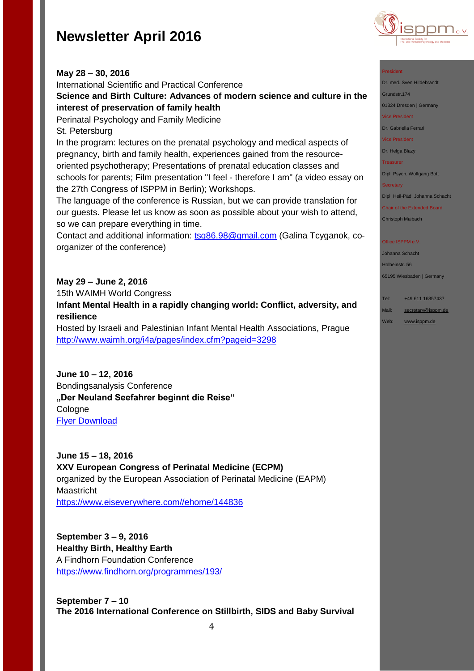

### **May 28 – 30, 2016**

International Scientific and Practical Conference **Science and Birth Culture: Advances of modern science and culture in the interest of preservation of family health** Perinatal Psychology and Family Medicine St. Petersburg In the program: lectures on the prenatal psychology and medical aspects of pregnancy, birth and family health, experiences gained from the resourceoriented psychotherapy; Presentations of prenatal education classes and schools for parents; Film presentation "I feel - therefore I am" (a video essay on the 27th Congress of ISPPM in Berlin); Workshops. The language of the conference is Russian, but we can provide translation for

our guests. Please let us know as soon as possible about your wish to attend, so we can prepare everything in time.

Contact and additional information: [tsg86.98@gmail.com](mailto:tsg86.98@gmail.com) (Galina Tcyganok, coorganizer of the conference)

## **May 29 – June 2, 2016** 15th WAIMH World Congress **Infant Mental Health in a rapidly changing world: Conflict, adversity, and resilience**

Hosted by Israeli and Palestinian Infant Mental Health Associations, Prague <http://www.waimh.org/i4a/pages/index.cfm?pageid=3298>

## **June 10 – 12, 2016**

Bondingsanalysis Conference **"Der Neuland Seefahrer beginnt die Reise"** Cologne **[Flyer Download](http://www.isppm.de/wp-content/uploads/2016/02/Flyer-BA-Tagung_2016.pdf)** 

**June 15 – 18, 2016 XXV European Congress of Perinatal Medicine (ECPM)** organized by the European Association of Perinatal Medicine (EAPM) Maastricht [https://www.eiseverywhere.com//ehome/144836](https://www.eiseverywhere.com/ehome/144836)

**September 3 – 9, 2016 Healthy Birth, Healthy Earth** A Findhorn Foundation Conference <https://www.findhorn.org/programmes/193/>

**September 7 – 10 The 2016 International Conference on Stillbirth, SIDS and Baby Survival** Dr. med. Sven Hildebrandt

Grundstr.174

01324 Dresden | Germany

Vice President

Dr. Gabriella Ferrari

Vice President

Dr. Helga Blazy

Treasurer

Dipl. Psych. Wolfgang Bott

**Secretary** 

Dipl. Heil-Päd. Johanna Schacht

Chair of the Extended Board Christoph Maibach

#### Office ISPPM e.V

Johanna Schacht Holbeinstr. 56 65195 Wiesbaden | Germany

Tel: +49 611 16857437

Mail: [secretary@isppm.de](mailto:secretary@isppm.de)

Web: [www.isppm.de](http://www.isppm.de/)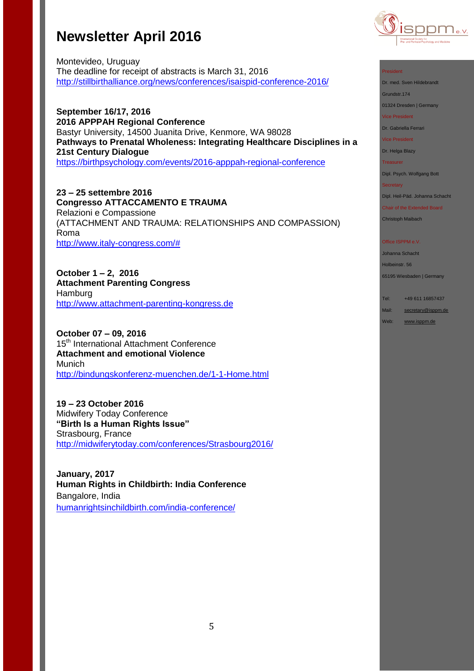

President

Dr. med. Sven Hildebrandt

Grundstr.174

01324 Dresden | Germany

Vice President

Dr. Gabriella Ferrari

Vice President

Dr. Helga Blazy

**Treasurer** 

Dipl. Psych. Wolfgang Bott

**Secretary** 

Dipl. Heil-Päd. Johanna Schacht

Chair of the Extended Board

Christoph Maibach

#### Office ISPPM e.V

Johanna Schacht Holbeinstr. 56

65195 Wiesbaden | Germany

Tel: +49 611 16857437

Mail: [secretary@isppm.de](mailto:secretary@isppm.de)

Web: [www.isppm.de](http://www.isppm.de/)

Montevideo, Uruguay The deadline for receipt of abstracts is March 31, 2016 <http://stillbirthalliance.org/news/conferences/isaispid-conference-2016/>

**September 16/17, 2016 2016 APPPAH Regional Conference** Bastyr University, 14500 Juanita Drive, Kenmore, WA 98028 **Pathways to Prenatal Wholeness: Integrating Healthcare Disciplines in a 21st Century Dialogue** <https://birthpsychology.com/events/2016-apppah-regional-conference>

**23 – 25 settembre 2016 Congresso ATTACCAMENTO E TRAUMA** Relazioni e Compassione (ATTACHMENT AND TRAUMA: RELATIONSHIPS AND COMPASSION) Roma [http://www.italy-congress.com/#](http://www.italy-congress.com/%23)

**October 1 – 2, 2016 Attachment Parenting Congress Hamburg** [http://www.attachment-parenting-kongress.de](http://www.attachment-parenting-kongress.de/)

**October 07 – 09, 2016**  15<sup>th</sup> International Attachment Conference **Attachment and emotional Violence** Munich <http://bindungskonferenz-muenchen.de/1-1-Home.html>

**19 – 23 October 2016** Midwifery Today Conference **"Birth Is a Human Rights Issue"** Strasbourg, France <http://midwiferytoday.com/conferences/Strasbourg2016/>

**January, 2017 Human Rights in Childbirth: India Conference** Bangalore, India [humanrightsinchildbirth.com/india-conference/](http://humanrightsinchildbirth.com/india-conference/)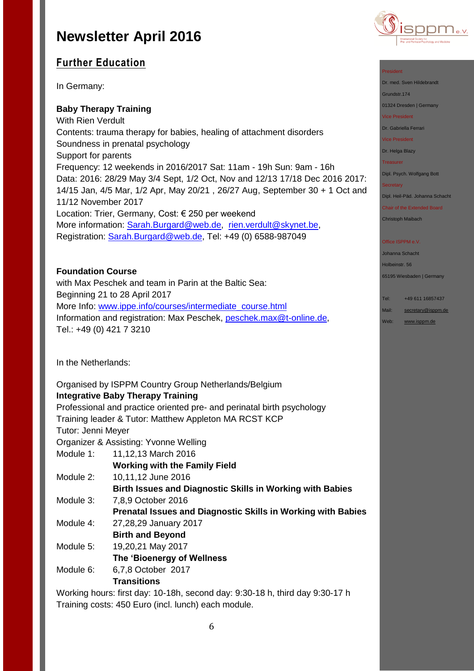

## **Further Education**

In Germany:

## **Baby Therapy Training**

With Rien Verdult Contents: trauma therapy for babies, healing of attachment disorders Soundness in prenatal psychology Support for parents Frequency: 12 weekends in 2016/2017 Sat: 11am - 19h Sun: 9am - 16h Data: 2016: 28/29 May 3/4 Sept, 1/2 Oct, Nov and 12/13 17/18 Dec 2016 2017: 14/15 Jan, 4/5 Mar, 1/2 Apr, May 20/21 , 26/27 Aug, September 30 + 1 Oct and 11/12 November 2017 Location: Trier, Germany, Cost: € 250 per weekend More information: [Sarah.Burgard@web.de,](mailto:Sarah.Burgard@web.de) [rien.verdult@skynet.be,](mailto:rien.verdult@skynet.be) Registration: [Sarah.Burgard@web.de,](mailto:Sarah.Burgard@web.de) Tel: +49 (0) 6588-987049

## **Foundation Course**

with Max Peschek and team in Parin at the Baltic Sea: Beginning 21 to 28 April 2017 More Info: [www.ippe.info/courses/intermediate\\_course.html](http://www.ippe.info/courses/intermediate_course.html) Information and registration: Max Peschek, [peschek.max@t-online.de,](mailto:peschek.max@t-online.de) Tel.: +49 (0) 421 7 3210

In the Netherlands:

## Organised by ISPPM Country Group Netherlands/Belgium **Integrative Baby Therapy Training**

Professional and practice oriented pre- and perinatal birth psychology Training leader & Tutor: Matthew Appleton MA RCST KCP Tutor: Jenni Meyer

Organizer & Assisting: Yvonne Welling

- Module 1: 11,12,13 March 2016
	- **Working with the Family Field**
- Module 2: 10,11,12 June 2016
- **Birth Issues and Diagnostic Skills in Working with Babies** Module 3: 7,8,9 October 2016
	- **Prenatal Issues and Diagnostic Skills in Working with Babies**
- Module 4: 27,28,29 January 2017
- **Birth and Beyond**
- Module 5: 19,20,21 May 2017
	- **The 'Bioenergy of Wellness**
- Module 6: 6,7,8 October 2017

## **Transitions**

Working hours: first day: 10-18h, second day: 9:30-18 h, third day 9:30-17 h Training costs: 450 Euro (incl. lunch) each module.



Dr. med. Sven Hildebrandt

Grundstr.174

01324 Dresden | Germany

Vice President

Dr. Gabriella Ferrari

Vice President

Dr. Helga Blazy

Treasurer

Dipl. Psych. Wolfgang Bott

**Secretary** 

Dipl. Heil-Päd. Johanna Schacht

Chair of the Extended Board Christoph Maibach

### Office ISPPM e.V

Johanna Schacht Holbeinstr. 56 65195 Wiesbaden | Germany

Web: [www.isppm.de](http://www.isppm.de/)

Tel: +49 611 16857437 Mail: [secretary@isppm.de](mailto:secretary@isppm.de)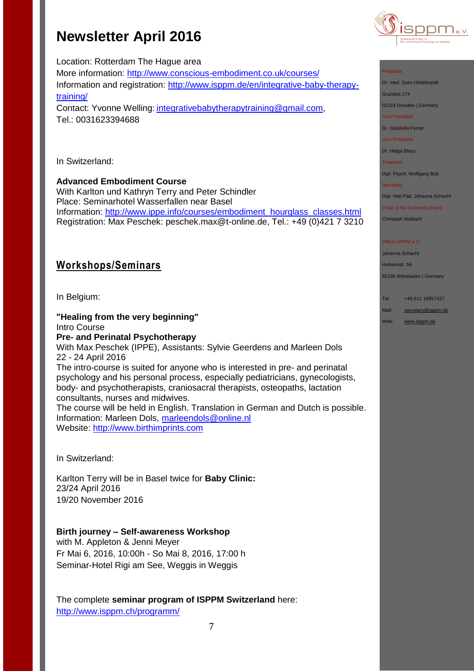

### President

Dr. med. Sven Hildebrandt

Grundstr.174

01324 Dresden | Germany

Vice President

Dr. Gabriella Ferrari

Vice President

Dr. Helga Blazy

Treasurer

Dipl. Psych. Wolfgang Bott

**Secretary** 

Dipl. Heil-Päd. Johanna Schacht

Chair of the Extended Board

Christoph Maibach

#### Office ISPPM e.V

Johanna Schacht

Holbeinstr. 56

65195 Wiesbaden | Germany

Tel: +49 611 16857437

Mail: [secretary@isppm.de](mailto:secretary@isppm.de)

Web: [www.isppm.de](http://www.isppm.de/)

## Location: Rotterdam The Hague area More information:<http://www.conscious-embodiment.co.uk/courses/> Information and registration: [http://www.isppm.de/en/integrative-baby-therapy](http://www.isppm.de/en/integrative-baby-therapy-training/)[training/](http://www.isppm.de/en/integrative-baby-therapy-training/)

Contact: Yvonne Welling: [integrativebabytherapytraining@gmail.com,](mailto:integrativebabytherapytraining@gmail.com) Tel.: 0031623394688

In Switzerland:

### **Advanced Embodiment Course**

With Karlton und Kathryn Terry and Peter Schindler Place: Seminarhotel Wasserfallen near Basel Information: [http://www.ippe.info/courses/embodiment\\_hourglass\\_classes.html](http://www.ippe.info/courses/embodiment_hourglass_classes.html)  Registration: Max Peschek: [peschek.max@t-online.de,](mailto:peschek.max@t-online.de) Tel.: +49 (0)421 7 3210

## **Workshops/Seminars**

In Belgium:

**"Healing from the very beginning"** Intro Course **Pre- and Perinatal Psychotherapy** With Max Peschek (IPPE), Assistants: Sylvie Geerdens and Marleen Dols 22 - 24 April 2016 The intro-course is suited for anyone who is interested in pre- and perinatal psychology and his personal process, especially pediatricians, gynecologists, body- and psychotherapists, craniosacral therapists, osteopaths, lactation consultants, nurses and midwives. The course will be held in English. Translation in German and Dutch is possible. Information: Marleen Dols, [marleendols@online.nl](mailto:marleendols@online.nl) Website: [http://www.birthimprints.com](http://www.birthimprints.com/)

In Switzerland:

Karlton Terry will be in Basel twice for **Baby Clinic:** 23/24 April 2016 19/20 November 2016

### **Birth journey – Self-awareness Workshop**

with M. Appleton & Jenni Meyer Fr Mai 6, 2016, 10:00h - So Mai 8, 2016, 17:00 h Seminar-Hotel Rigi am See, Weggis in Weggis

## The complete **seminar program of ISPPM Switzerland** here:

<http://www.isppm.ch/programm/>